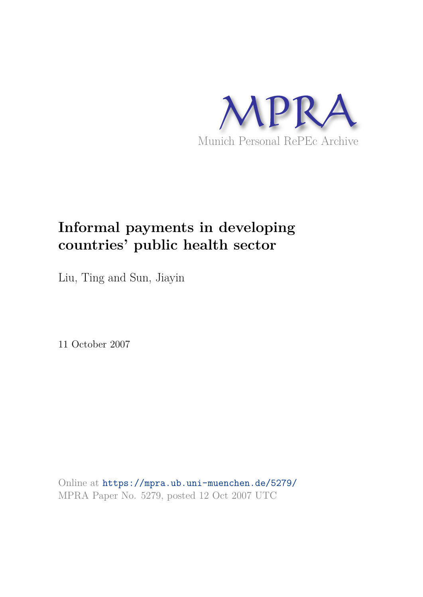

## **Informal payments in developing countries' public health sector**

Liu, Ting and Sun, Jiayin

11 October 2007

Online at https://mpra.ub.uni-muenchen.de/5279/ MPRA Paper No. 5279, posted 12 Oct 2007 UTC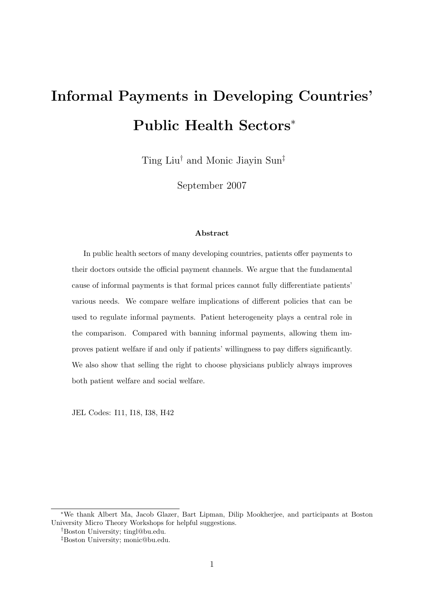# Informal Payments in Developing Countries' Public Health Sectors<sup>∗</sup>

Ting Liu† and Monic Jiayin Sun‡

September 2007

#### Abstract

In public health sectors of many developing countries, patients offer payments to their doctors outside the official payment channels. We argue that the fundamental cause of informal payments is that formal prices cannot fully differentiate patients' various needs. We compare welfare implications of different policies that can be used to regulate informal payments. Patient heterogeneity plays a central role in the comparison. Compared with banning informal payments, allowing them improves patient welfare if and only if patients' willingness to pay differs significantly. We also show that selling the right to choose physicians publicly always improves both patient welfare and social welfare.

JEL Codes: I11, I18, I38, H42

<sup>∗</sup>We thank Albert Ma, Jacob Glazer, Bart Lipman, Dilip Mookherjee, and participants at Boston University Micro Theory Workshops for helpful suggestions.

<sup>†</sup>Boston University; tingl@bu.edu.

<sup>‡</sup>Boston University; monic@bu.edu.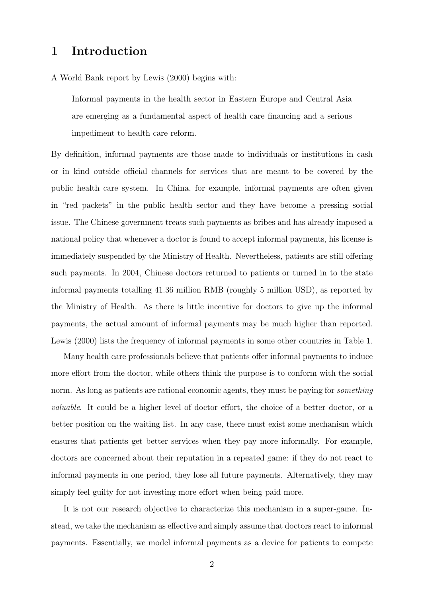## 1 Introduction

A World Bank report by Lewis (2000) begins with:

Informal payments in the health sector in Eastern Europe and Central Asia are emerging as a fundamental aspect of health care financing and a serious impediment to health care reform.

By definition, informal payments are those made to individuals or institutions in cash or in kind outside official channels for services that are meant to be covered by the public health care system. In China, for example, informal payments are often given in "red packets" in the public health sector and they have become a pressing social issue. The Chinese government treats such payments as bribes and has already imposed a national policy that whenever a doctor is found to accept informal payments, his license is immediately suspended by the Ministry of Health. Nevertheless, patients are still offering such payments. In 2004, Chinese doctors returned to patients or turned in to the state informal payments totalling 41.36 million RMB (roughly 5 million USD), as reported by the Ministry of Health. As there is little incentive for doctors to give up the informal payments, the actual amount of informal payments may be much higher than reported. Lewis (2000) lists the frequency of informal payments in some other countries in Table 1.

Many health care professionals believe that patients offer informal payments to induce more effort from the doctor, while others think the purpose is to conform with the social norm. As long as patients are rational economic agents, they must be paying for *something valuable*. It could be a higher level of doctor effort, the choice of a better doctor, or a better position on the waiting list. In any case, there must exist some mechanism which ensures that patients get better services when they pay more informally. For example, doctors are concerned about their reputation in a repeated game: if they do not react to informal payments in one period, they lose all future payments. Alternatively, they may simply feel guilty for not investing more effort when being paid more.

It is not our research objective to characterize this mechanism in a super-game. Instead, we take the mechanism as effective and simply assume that doctors react to informal payments. Essentially, we model informal payments as a device for patients to compete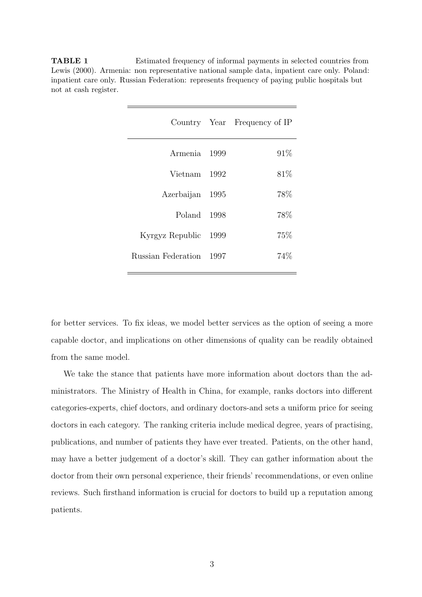| TABLE 1               | Estimated frequency of informal payments in selected countries from                           |
|-----------------------|-----------------------------------------------------------------------------------------------|
|                       | Lewis (2000). Armenia: non representative national sample data, inpatient care only. Poland:  |
|                       | in patient care only. Russian Federation: represents frequency of paying public hospitals but |
| not at cash register. |                                                                                               |

|                    |        | Country Year Frequency of IP |
|--------------------|--------|------------------------------|
| Armenia 1999       |        | 91\%                         |
| Vietnam 1992       |        | 81\%                         |
| Azerbaijan 1995    |        | 78\%                         |
| Poland             | 1998   | 78%                          |
| Kyrgyz Republic    | 1999   | 75\%                         |
| Russian Federation | - 1997 | 74%                          |
|                    |        |                              |

for better services. To fix ideas, we model better services as the option of seeing a more capable doctor, and implications on other dimensions of quality can be readily obtained from the same model.

We take the stance that patients have more information about doctors than the administrators. The Ministry of Health in China, for example, ranks doctors into different categories-experts, chief doctors, and ordinary doctors-and sets a uniform price for seeing doctors in each category. The ranking criteria include medical degree, years of practising, publications, and number of patients they have ever treated. Patients, on the other hand, may have a better judgement of a doctor's skill. They can gather information about the doctor from their own personal experience, their friends' recommendations, or even online reviews. Such firsthand information is crucial for doctors to build up a reputation among patients.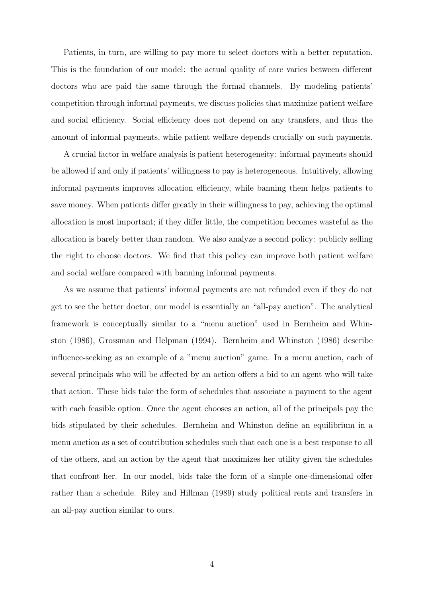Patients, in turn, are willing to pay more to select doctors with a better reputation. This is the foundation of our model: the actual quality of care varies between different doctors who are paid the same through the formal channels. By modeling patients' competition through informal payments, we discuss policies that maximize patient welfare and social efficiency. Social efficiency does not depend on any transfers, and thus the amount of informal payments, while patient welfare depends crucially on such payments.

A crucial factor in welfare analysis is patient heterogeneity: informal payments should be allowed if and only if patients' willingness to pay is heterogeneous. Intuitively, allowing informal payments improves allocation efficiency, while banning them helps patients to save money. When patients differ greatly in their willingness to pay, achieving the optimal allocation is most important; if they differ little, the competition becomes wasteful as the allocation is barely better than random. We also analyze a second policy: publicly selling the right to choose doctors. We find that this policy can improve both patient welfare and social welfare compared with banning informal payments.

As we assume that patients' informal payments are not refunded even if they do not get to see the better doctor, our model is essentially an "all-pay auction". The analytical framework is conceptually similar to a "menu auction" used in Bernheim and Whinston (1986), Grossman and Helpman (1994). Bernheim and Whinston (1986) describe influence-seeking as an example of a "menu auction" game. In a menu auction, each of several principals who will be affected by an action offers a bid to an agent who will take that action. These bids take the form of schedules that associate a payment to the agent with each feasible option. Once the agent chooses an action, all of the principals pay the bids stipulated by their schedules. Bernheim and Whinston define an equilibrium in a menu auction as a set of contribution schedules such that each one is a best response to all of the others, and an action by the agent that maximizes her utility given the schedules that confront her. In our model, bids take the form of a simple one-dimensional offer rather than a schedule. Riley and Hillman (1989) study political rents and transfers in an all-pay auction similar to ours.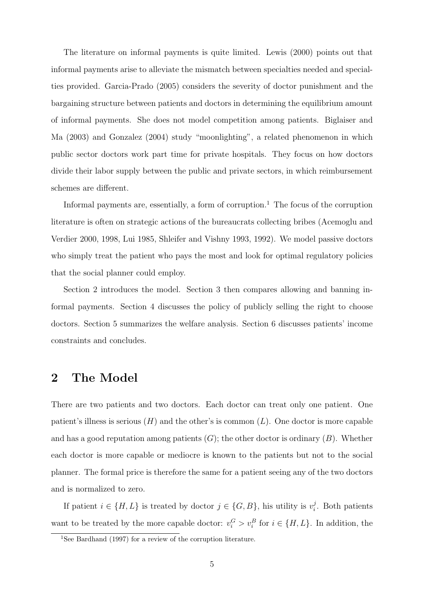The literature on informal payments is quite limited. Lewis (2000) points out that informal payments arise to alleviate the mismatch between specialties needed and specialties provided. Garcia-Prado (2005) considers the severity of doctor punishment and the bargaining structure between patients and doctors in determining the equilibrium amount of informal payments. She does not model competition among patients. Biglaiser and Ma (2003) and Gonzalez (2004) study "moonlighting", a related phenomenon in which public sector doctors work part time for private hospitals. They focus on how doctors divide their labor supply between the public and private sectors, in which reimbursement schemes are different.

Informal payments are, essentially, a form of corruption.<sup>1</sup> The focus of the corruption literature is often on strategic actions of the bureaucrats collecting bribes (Acemoglu and Verdier 2000, 1998, Lui 1985, Shleifer and Vishny 1993, 1992). We model passive doctors who simply treat the patient who pays the most and look for optimal regulatory policies that the social planner could employ.

Section 2 introduces the model. Section 3 then compares allowing and banning informal payments. Section 4 discusses the policy of publicly selling the right to choose doctors. Section 5 summarizes the welfare analysis. Section 6 discusses patients' income constraints and concludes.

## 2 The Model

There are two patients and two doctors. Each doctor can treat only one patient. One patient's illness is serious  $(H)$  and the other's is common  $(L)$ . One doctor is more capable and has a good reputation among patients  $(G)$ ; the other doctor is ordinary  $(B)$ . Whether each doctor is more capable or mediocre is known to the patients but not to the social planner. The formal price is therefore the same for a patient seeing any of the two doctors and is normalized to zero.

If patient  $i \in \{H, L\}$  is treated by doctor  $j \in \{G, B\}$ , his utility is  $v_i^j$  $i$ . Both patients want to be treated by the more capable doctor:  $v_i^G > v_i^B$  for  $i \in \{H, L\}$ . In addition, the

<sup>&</sup>lt;sup>1</sup>See Bardhand (1997) for a review of the corruption literature.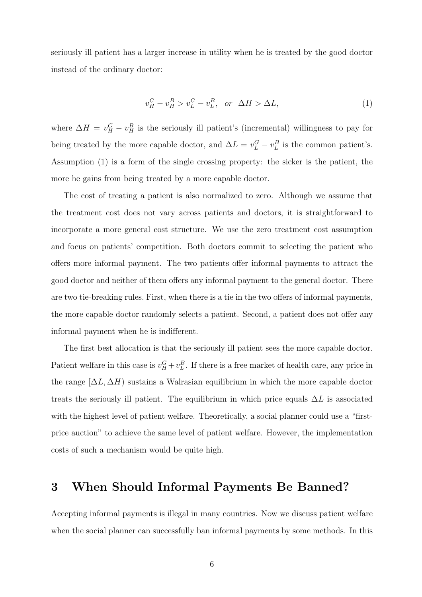seriously ill patient has a larger increase in utility when he is treated by the good doctor instead of the ordinary doctor:

$$
v_H^G - v_H^B > v_L^G - v_L^B, \quad \text{or} \quad \Delta H > \Delta L,\tag{1}
$$

where  $\Delta H = v_H^G - v_H^B$  is the seriously ill patient's (incremental) willingness to pay for being treated by the more capable doctor, and  $\Delta L = v_L^G - v_L^B$  is the common patient's. Assumption (1) is a form of the single crossing property: the sicker is the patient, the more he gains from being treated by a more capable doctor.

The cost of treating a patient is also normalized to zero. Although we assume that the treatment cost does not vary across patients and doctors, it is straightforward to incorporate a more general cost structure. We use the zero treatment cost assumption and focus on patients' competition. Both doctors commit to selecting the patient who offers more informal payment. The two patients offer informal payments to attract the good doctor and neither of them offers any informal payment to the general doctor. There are two tie-breaking rules. First, when there is a tie in the two offers of informal payments, the more capable doctor randomly selects a patient. Second, a patient does not offer any informal payment when he is indifferent.

The first best allocation is that the seriously ill patient sees the more capable doctor. Patient welfare in this case is  $v_H^G + v_L^B$ . If there is a free market of health care, any price in the range  $[\Delta L, \Delta H]$  sustains a Walrasian equilibrium in which the more capable doctor treats the seriously ill patient. The equilibrium in which price equals  $\Delta L$  is associated with the highest level of patient welfare. Theoretically, a social planner could use a "firstprice auction" to achieve the same level of patient welfare. However, the implementation costs of such a mechanism would be quite high.

## 3 When Should Informal Payments Be Banned?

Accepting informal payments is illegal in many countries. Now we discuss patient welfare when the social planner can successfully ban informal payments by some methods. In this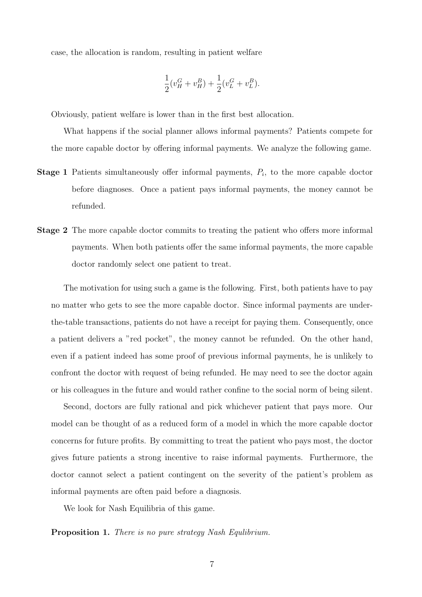case, the allocation is random, resulting in patient welfare

$$
\frac{1}{2}(v_H^G + v_H^B) + \frac{1}{2}(v_L^G + v_L^B).
$$

Obviously, patient welfare is lower than in the first best allocation.

What happens if the social planner allows informal payments? Patients compete for the more capable doctor by offering informal payments. We analyze the following game.

- **Stage 1** Patients simultaneously offer informal payments,  $P_i$ , to the more capable doctor before diagnoses. Once a patient pays informal payments, the money cannot be refunded.
- Stage 2 The more capable doctor commits to treating the patient who offers more informal payments. When both patients offer the same informal payments, the more capable doctor randomly select one patient to treat.

The motivation for using such a game is the following. First, both patients have to pay no matter who gets to see the more capable doctor. Since informal payments are underthe-table transactions, patients do not have a receipt for paying them. Consequently, once a patient delivers a "red pocket", the money cannot be refunded. On the other hand, even if a patient indeed has some proof of previous informal payments, he is unlikely to confront the doctor with request of being refunded. He may need to see the doctor again or his colleagues in the future and would rather confine to the social norm of being silent.

Second, doctors are fully rational and pick whichever patient that pays more. Our model can be thought of as a reduced form of a model in which the more capable doctor concerns for future profits. By committing to treat the patient who pays most, the doctor gives future patients a strong incentive to raise informal payments. Furthermore, the doctor cannot select a patient contingent on the severity of the patient's problem as informal payments are often paid before a diagnosis.

We look for Nash Equilibria of this game.

#### Proposition 1. *There is no pure strategy Nash Equlibrium.*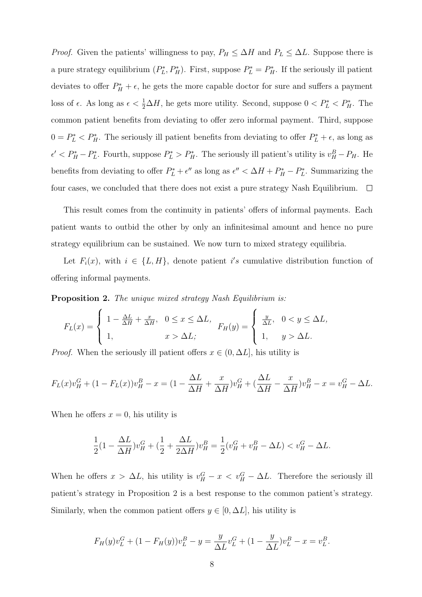*Proof.* Given the patients' willingness to pay,  $P_H \leq \Delta H$  and  $P_L \leq \Delta L$ . Suppose there is a pure strategy equilibrium  $(P_L^*)$ <sup>\*</sup>, $P_H^*$ ). First, suppose  $P_L^* = P_H^*$ . If the seriously ill patient deviates to offer  $P_H^* + \epsilon$ , he gets the more capable doctor for sure and suffers a payment loss of  $\epsilon$ . As long as  $\epsilon < \frac{1}{2}\Delta H$ , he gets more utility. Second, suppose  $0 < P_L^* < P_H^*$ . The common patient benefits from deviating to offer zero informal payment. Third, suppose  $0 = P_L^* < P_H^*$ . The seriously ill patient benefits from deviating to offer  $P_L^* + \epsilon$ , as long as  $\epsilon' < P_H^* - P_L^*$ <sup>\*</sup><sub>L</sub>. Fourth, suppose  $P_L^* > P_H^*$ . The seriously ill patient's utility is  $v_H^B - P_H$ . He benefits from deviating to offer  $P_L^* + \epsilon''$  as long as  $\epsilon'' < \Delta H + P_H^* - P_L^*$  $L^*$ . Summarizing the four cases, we concluded that there does not exist a pure strategy Nash Equilibrium.  $\Box$ 

This result comes from the continuity in patients' offers of informal payments. Each patient wants to outbid the other by only an infinitesimal amount and hence no pure strategy equilibrium can be sustained. We now turn to mixed strategy equilibria.

Let  $F_i(x)$ , with  $i \in \{L, H\}$ , denote patient i's cumulative distribution function of offering informal payments.

Proposition 2. *The unique mixed strategy Nash Equilibrium is:*

$$
F_L(x) = \begin{cases} 1 - \frac{\Delta L}{\Delta H} + \frac{x}{\Delta H}, & 0 \le x \le \Delta L, \\ 1, & x > \Delta L; \end{cases} \quad F_H(y) = \begin{cases} \frac{y}{\Delta L}, & 0 < y \le \Delta L, \\ 1, & y > \Delta L. \end{cases}
$$

*Proof.* When the seriously ill patient offers  $x \in (0, \Delta L]$ , his utility is

$$
F_L(x)v_H^G + (1 - F_L(x))v_H^B - x = (1 - \frac{\Delta L}{\Delta H} + \frac{x}{\Delta H})v_H^G + (\frac{\Delta L}{\Delta H} - \frac{x}{\Delta H})v_H^B - x = v_H^G - \Delta L.
$$

When he offers  $x = 0$ , his utility is

$$
\frac{1}{2}(1 - \frac{\Delta L}{\Delta H})v_H^G + (\frac{1}{2} + \frac{\Delta L}{2\Delta H})v_H^B = \frac{1}{2}(v_H^G + v_H^B - \Delta L) < v_H^G - \Delta L.
$$

When he offers  $x > \Delta L$ , his utility is  $v_H^G - x < v_H^G - \Delta L$ . Therefore the seriously ill patient's strategy in Proposition 2 is a best response to the common patient's strategy. Similarly, when the common patient offers  $y \in [0, \Delta L]$ , his utility is

$$
F_H(y)v_L^G + (1 - F_H(y))v_L^B - y = \frac{y}{\Delta L}v_L^G + (1 - \frac{y}{\Delta L})v_L^B - x = v_L^B.
$$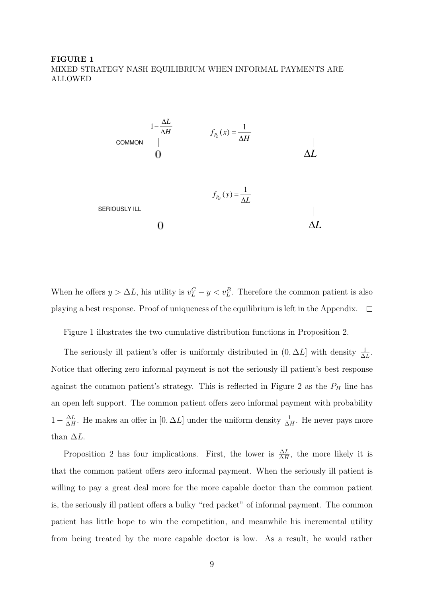#### FIGURE 1 MIXED STRATEGY NASH EQUILIBRIUM WHEN INFORMAL PAYMENTS ARE ALLOWED



When he offers  $y > \Delta L$ , his utility is  $v_L^G - y < v_L^B$ . Therefore the common patient is also playing a best response. Proof of uniqueness of the equilibrium is left in the Appendix.  $\Box$ 

Figure 1 illustrates the two cumulative distribution functions in Proposition 2.

The seriously ill patient's offer is uniformly distributed in  $(0, \Delta L]$  with density  $\frac{1}{\Delta L}$ . Notice that offering zero informal payment is not the seriously ill patient's best response against the common patient's strategy. This is reflected in Figure 2 as the  $P_H$  line has an open left support. The common patient offers zero informal payment with probability  $1 - \frac{\Delta L}{\Delta H}$  $\frac{\Delta L}{\Delta H}$ . He makes an offer in  $[0, \Delta L]$  under the uniform density  $\frac{1}{\Delta H}$ . He never pays more than  $\Delta L$ .

Proposition 2 has four implications. First, the lower is  $\frac{\Delta L}{\Delta H}$ , the more likely it is that the common patient offers zero informal payment. When the seriously ill patient is willing to pay a great deal more for the more capable doctor than the common patient is, the seriously ill patient offers a bulky "red packet" of informal payment. The common patient has little hope to win the competition, and meanwhile his incremental utility from being treated by the more capable doctor is low. As a result, he would rather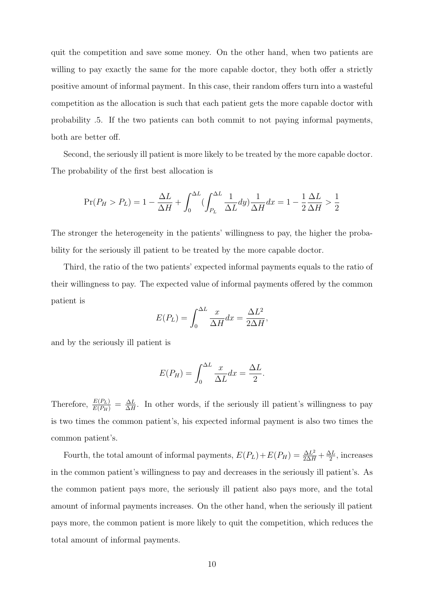quit the competition and save some money. On the other hand, when two patients are willing to pay exactly the same for the more capable doctor, they both offer a strictly positive amount of informal payment. In this case, their random offers turn into a wasteful competition as the allocation is such that each patient gets the more capable doctor with probability .5. If the two patients can both commit to not paying informal payments, both are better off.

Second, the seriously ill patient is more likely to be treated by the more capable doctor. The probability of the first best allocation is

$$
\Pr(P_H > P_L) = 1 - \frac{\Delta L}{\Delta H} + \int_0^{\Delta L} \left(\int_{P_L}^{\Delta L} \frac{1}{\Delta L} dy\right) \frac{1}{\Delta H} dx = 1 - \frac{1}{2} \frac{\Delta L}{\Delta H} > \frac{1}{2}
$$

The stronger the heterogeneity in the patients' willingness to pay, the higher the probability for the seriously ill patient to be treated by the more capable doctor.

Third, the ratio of the two patients' expected informal payments equals to the ratio of their willingness to pay. The expected value of informal payments offered by the common patient is

$$
E(P_L) = \int_0^{\Delta L} \frac{x}{\Delta H} dx = \frac{\Delta L^2}{2\Delta H},
$$

and by the seriously ill patient is

$$
E(P_H) = \int_0^{\Delta L} \frac{x}{\Delta L} dx = \frac{\Delta L}{2}.
$$

Therefore,  $\frac{E(P_L)}{E(P_H)} = \frac{\Delta L}{\Delta H}$  $\frac{\Delta L}{\Delta H}$ . In other words, if the seriously ill patient's willingness to pay is two times the common patient's, his expected informal payment is also two times the common patient's.

Fourth, the total amount of informal payments,  $E(P_L) + E(P_H) = \frac{\Delta L^2}{2\Delta H} + \frac{\Delta L}{2}$  $\frac{\Delta L}{2}$ , increases in the common patient's willingness to pay and decreases in the seriously ill patient's. As the common patient pays more, the seriously ill patient also pays more, and the total amount of informal payments increases. On the other hand, when the seriously ill patient pays more, the common patient is more likely to quit the competition, which reduces the total amount of informal payments.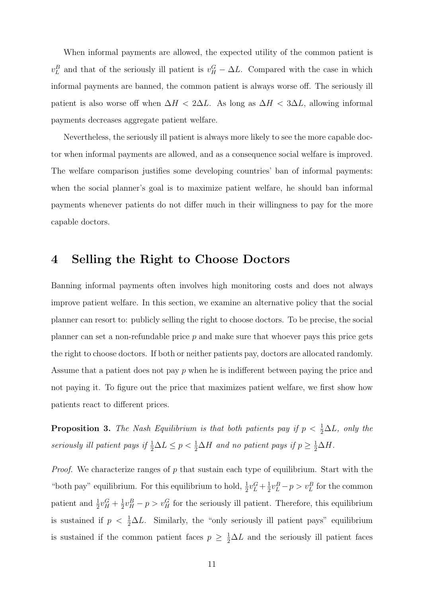When informal payments are allowed, the expected utility of the common patient is  $v_L^B$  and that of the seriously ill patient is  $v_H^G - \Delta L$ . Compared with the case in which informal payments are banned, the common patient is always worse off. The seriously ill patient is also worse off when  $\Delta H < 2\Delta L$ . As long as  $\Delta H < 3\Delta L$ , allowing informal payments decreases aggregate patient welfare.

Nevertheless, the seriously ill patient is always more likely to see the more capable doctor when informal payments are allowed, and as a consequence social welfare is improved. The welfare comparison justifies some developing countries' ban of informal payments: when the social planner's goal is to maximize patient welfare, he should ban informal payments whenever patients do not differ much in their willingness to pay for the more capable doctors.

## 4 Selling the Right to Choose Doctors

Banning informal payments often involves high monitoring costs and does not always improve patient welfare. In this section, we examine an alternative policy that the social planner can resort to: publicly selling the right to choose doctors. To be precise, the social planner can set a non-refundable price  $p$  and make sure that whoever pays this price gets the right to choose doctors. If both or neither patients pay, doctors are allocated randomly. Assume that a patient does not pay  $p$  when he is indifferent between paying the price and not paying it. To figure out the price that maximizes patient welfare, we first show how patients react to different prices.

**Proposition 3.** The Nash Equilibrium is that both patients pay if  $p < \frac{1}{2}\Delta L$ , only the *seriously ill patient pays if*  $\frac{1}{2}\Delta L \leq p < \frac{1}{2}\Delta H$  *and no patient pays if*  $p \geq \frac{1}{2}\Delta H$ .

*Proof.* We characterize ranges of p that sustain each type of equilibrium. Start with the "both pay" equilibrium. For this equilibrium to hold,  $\frac{1}{2}v_L^G + \frac{1}{2}$  $\frac{1}{2}v_L^B - p > v_L^B$  for the common patient and  $\frac{1}{2}v_H^G + \frac{1}{2}$  $\frac{1}{2}v_H^B - p > v_H^G$  for the seriously ill patient. Therefore, this equilibrium is sustained if  $p < \frac{1}{2}\Delta L$ . Similarly, the "only seriously ill patient pays" equilibrium is sustained if the common patient faces  $p \geq \frac{1}{2}\Delta L$  and the seriously ill patient faces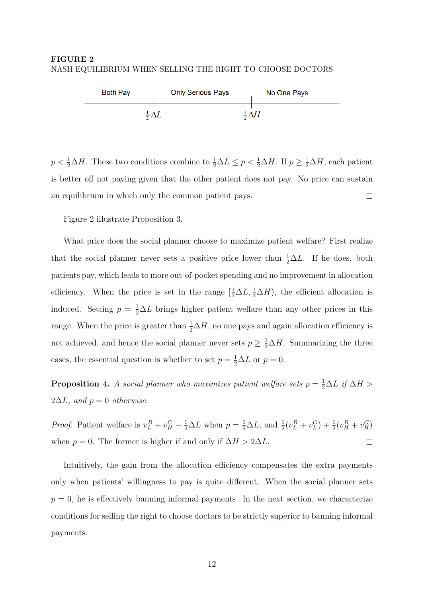#### FIGURE 2 NASH EQUILIBRIUM WHEN SELLING THE RIGHT TO CHOOSE DOCTORS



 $p < \frac{1}{2}\Delta H$ . These two conditions combine to  $\frac{1}{2}\Delta L \le p < \frac{1}{2}\Delta H$ . If  $p \ge \frac{1}{2}\Delta H$ , each patient is better off not paying given that the other patient does not pay. No price can sustain an equilibrium in which only the common patient pays.  $\Box$ 

Figure 2 illustrate Proposition 3.

What price does the social planner choose to maximize patient welfare? First realize that the social planner never sets a positive price lower than  $\frac{1}{2}\Delta L$ . If he does, both patients pay, which leads to more out-of-pocket spending and no improvement in allocation efficiency. When the price is set in the range  $[\frac{1}{2}\Delta L, \frac{1}{2}\Delta H)$ , the efficient allocation is induced. Setting  $p = \frac{1}{2}\Delta L$  brings higher patient welfare than any other prices in this range. When the price is greater than  $\frac{1}{2}\Delta H$ , no one pays and again allocation efficiency is not achieved, and hence the social planner never sets  $p \geq \frac{1}{2}\Delta H$ . Summarizing the three cases, the essential question is whether to set  $p = \frac{1}{2}\Delta L$  or  $p = 0$ .

**Proposition 4.** *A social planner who maximizes patient welfare sets*  $p = \frac{1}{2}\Delta L$  *if*  $\Delta H >$  $2\Delta L$ *, and*  $p = 0$  *otherwise.* 

*Proof.* Patient welfare is  $v_L^B + v_H^G - \frac{1}{2}\Delta L$  when  $p = \frac{1}{2}\Delta L$ , and  $\frac{1}{2}(v_L^B + v_L^G) + \frac{1}{2}(v_H^B + v_H^G)$ when  $p = 0$ . The former is higher if and only if  $\Delta H > 2\Delta L$ .  $\Box$ 

Intuitively, the gain from the allocation efficiency compensates the extra payments only when patients' willingness to pay is quite different. When the social planner sets  $p = 0$ , he is effectively banning informal payments. In the next section, we characterize conditions for selling the right to choose doctors to be strictly superior to banning informal payments.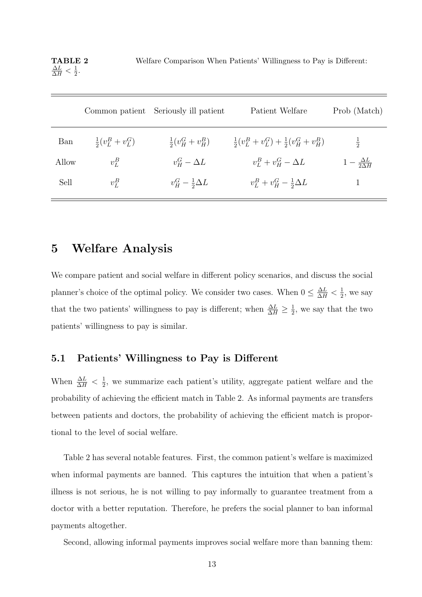TABLE 2 Welfare Comparison When Patients' Willingness to Pay is Different:  $\frac{\Delta L}{\Delta H} < \frac{1}{2}$  $rac{1}{2}$ .

|       | Common patient               | Seriously ill patient         | Patient Welfare                                           | Prob (Match)                   |
|-------|------------------------------|-------------------------------|-----------------------------------------------------------|--------------------------------|
| Ban   | $\frac{1}{2}(v_L^B + v_L^G)$ | $\frac{1}{2}(v_H^G + v_H^B)$  | $\frac{1}{2}(v_L^B + v_L^G) + \frac{1}{2}(v_H^G + v_H^B)$ | $\frac{1}{2}$                  |
| Allow | $v_L^B$                      | $v_H^G - \Delta L$            | $v_L^B + v_H^G - \Delta L$                                | $1-\frac{\Delta L}{2\Delta H}$ |
| Sell  | $v_L^B$                      | $v_H^G - \frac{1}{2}\Delta L$ | $v_L^B + v_H^G - \frac{1}{2}\Delta L$                     |                                |
|       |                              |                               |                                                           |                                |

## 5 Welfare Analysis

We compare patient and social welfare in different policy scenarios, and discuss the social planner's choice of the optimal policy. We consider two cases. When  $0 \leq \frac{\Delta L}{\Delta H} < \frac{1}{2}$  $\frac{1}{2}$ , we say that the two patients' willingness to pay is different; when  $\frac{\Delta L}{\Delta H} \geq \frac{1}{2}$  $\frac{1}{2}$ , we say that the two patients' willingness to pay is similar.

#### 5.1 Patients' Willingness to Pay is Different

When  $\frac{\Delta L}{\Delta H} < \frac{1}{2}$  $\frac{1}{2}$ , we summarize each patient's utility, aggregate patient welfare and the probability of achieving the efficient match in Table 2. As informal payments are transfers between patients and doctors, the probability of achieving the efficient match is proportional to the level of social welfare.

Table 2 has several notable features. First, the common patient's welfare is maximized when informal payments are banned. This captures the intuition that when a patient's illness is not serious, he is not willing to pay informally to guarantee treatment from a doctor with a better reputation. Therefore, he prefers the social planner to ban informal payments altogether.

Second, allowing informal payments improves social welfare more than banning them: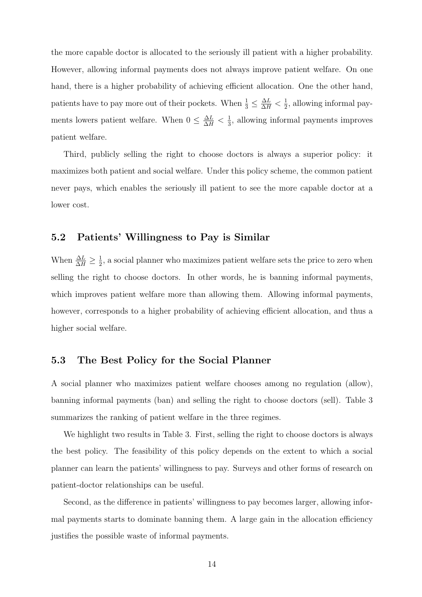the more capable doctor is allocated to the seriously ill patient with a higher probability. However, allowing informal payments does not always improve patient welfare. On one hand, there is a higher probability of achieving efficient allocation. One the other hand, patients have to pay more out of their pockets. When  $\frac{1}{3} \leq \frac{\Delta L}{\Delta H} < \frac{1}{2}$  $\frac{1}{2}$ , allowing informal payments lowers patient welfare. When  $0 \leq \frac{\Delta L}{\Delta H} < \frac{1}{3}$  $\frac{1}{3}$ , allowing informal payments improves patient welfare.

Third, publicly selling the right to choose doctors is always a superior policy: it maximizes both patient and social welfare. Under this policy scheme, the common patient never pays, which enables the seriously ill patient to see the more capable doctor at a lower cost.

### 5.2 Patients' Willingness to Pay is Similar

When  $\frac{\Delta L}{\Delta H} \geq \frac{1}{2}$  $\frac{1}{2}$ , a social planner who maximizes patient welfare sets the price to zero when selling the right to choose doctors. In other words, he is banning informal payments, which improves patient welfare more than allowing them. Allowing informal payments, however, corresponds to a higher probability of achieving efficient allocation, and thus a higher social welfare.

### 5.3 The Best Policy for the Social Planner

A social planner who maximizes patient welfare chooses among no regulation (allow), banning informal payments (ban) and selling the right to choose doctors (sell). Table 3 summarizes the ranking of patient welfare in the three regimes.

We highlight two results in Table 3. First, selling the right to choose doctors is always the best policy. The feasibility of this policy depends on the extent to which a social planner can learn the patients' willingness to pay. Surveys and other forms of research on patient-doctor relationships can be useful.

Second, as the difference in patients' willingness to pay becomes larger, allowing informal payments starts to dominate banning them. A large gain in the allocation efficiency justifies the possible waste of informal payments.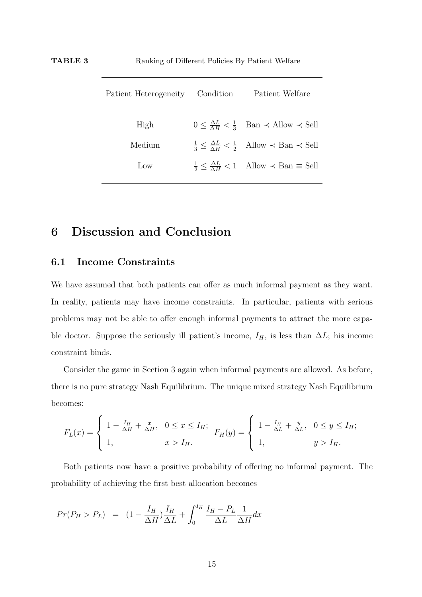| Patient Heterogeneity Condition | Patient Welfare                                                                           |
|---------------------------------|-------------------------------------------------------------------------------------------|
| High                            | $0 \leq \frac{\Delta L}{\Delta H} < \frac{1}{3}$ Ban $\prec$ Allow $\prec$ Sell           |
| Medium                          | $\frac{1}{3} \leq \frac{\Delta L}{\Delta H} < \frac{1}{2}$ Allow $\prec$ Ban $\prec$ Sell |
| Low                             | $\frac{1}{2} \leq \frac{\Delta L}{\Delta H} < 1$ Allow $\prec$ Ban $\equiv$ Sell          |

## 6 Discussion and Conclusion

#### 6.1 Income Constraints

We have assumed that both patients can offer as much informal payment as they want. In reality, patients may have income constraints. In particular, patients with serious problems may not be able to offer enough informal payments to attract the more capable doctor. Suppose the seriously ill patient's income,  $I_H$ , is less than  $\Delta L$ ; his income constraint binds.

Consider the game in Section 3 again when informal payments are allowed. As before, there is no pure strategy Nash Equilibrium. The unique mixed strategy Nash Equilibrium becomes:

$$
F_L(x) = \begin{cases} 1 - \frac{I_H}{\Delta H} + \frac{x}{\Delta H}, & 0 \le x \le I_H; \\ 1, & x > I_H. \end{cases} \quad F_H(y) = \begin{cases} 1 - \frac{I_H}{\Delta L} + \frac{y}{\Delta L}, & 0 \le y \le I_H; \\ 1, & y > I_H. \end{cases}
$$

Both patients now have a positive probability of offering no informal payment. The probability of achieving the first best allocation becomes

$$
Pr(P_H > P_L) = (1 - \frac{I_H}{\Delta H})\frac{I_H}{\Delta L} + \int_0^{I_H} \frac{I_H - P_L}{\Delta L} \frac{1}{\Delta H} dx
$$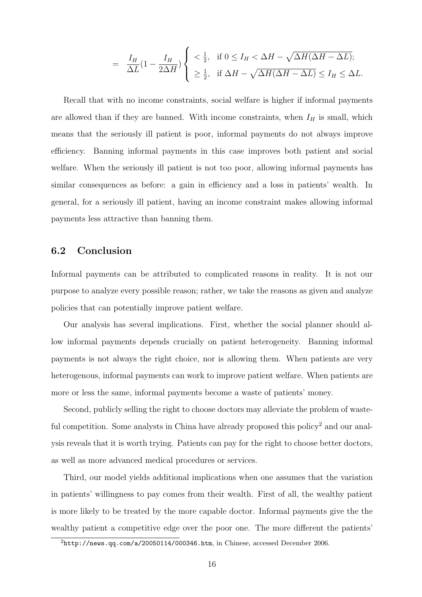$$
= \frac{I_H}{\Delta L} (1 - \frac{I_H}{2\Delta H}) \begin{cases} < \frac{1}{2}, \text{ if } 0 \le I_H < \Delta H - \sqrt{\Delta H (\Delta H - \Delta L)}; \\ < \frac{1}{2}, \text{ if } \Delta H - \sqrt{\Delta H (\Delta H - \Delta L)} \le I_H \le \Delta L. \end{cases}
$$

Recall that with no income constraints, social welfare is higher if informal payments are allowed than if they are banned. With income constraints, when  $I_H$  is small, which means that the seriously ill patient is poor, informal payments do not always improve efficiency. Banning informal payments in this case improves both patient and social welfare. When the seriously ill patient is not too poor, allowing informal payments has similar consequences as before: a gain in efficiency and a loss in patients' wealth. In general, for a seriously ill patient, having an income constraint makes allowing informal payments less attractive than banning them.

#### 6.2 Conclusion

Informal payments can be attributed to complicated reasons in reality. It is not our purpose to analyze every possible reason; rather, we take the reasons as given and analyze policies that can potentially improve patient welfare.

Our analysis has several implications. First, whether the social planner should allow informal payments depends crucially on patient heterogeneity. Banning informal payments is not always the right choice, nor is allowing them. When patients are very heterogenous, informal payments can work to improve patient welfare. When patients are more or less the same, informal payments become a waste of patients' money.

Second, publicly selling the right to choose doctors may alleviate the problem of wasteful competition. Some analysts in China have already proposed this policy<sup>2</sup> and our analysis reveals that it is worth trying. Patients can pay for the right to choose better doctors, as well as more advanced medical procedures or services.

Third, our model yields additional implications when one assumes that the variation in patients' willingness to pay comes from their wealth. First of all, the wealthy patient is more likely to be treated by the more capable doctor. Informal payments give the the wealthy patient a competitive edge over the poor one. The more different the patients'

 $2$ http://news.qq.com/a/20050114/000346.htm, in Chinese, accessed December 2006.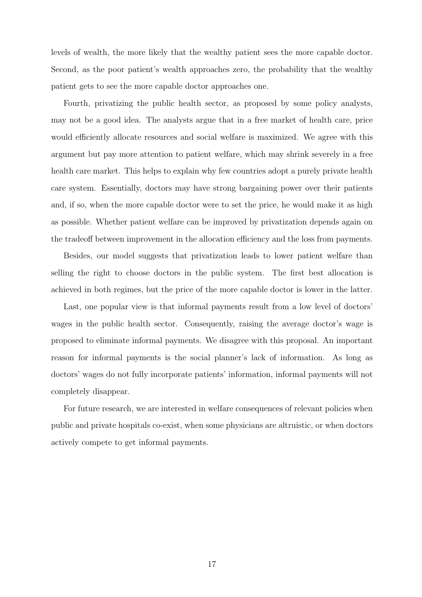levels of wealth, the more likely that the wealthy patient sees the more capable doctor. Second, as the poor patient's wealth approaches zero, the probability that the wealthy patient gets to see the more capable doctor approaches one.

Fourth, privatizing the public health sector, as proposed by some policy analysts, may not be a good idea. The analysts argue that in a free market of health care, price would efficiently allocate resources and social welfare is maximized. We agree with this argument but pay more attention to patient welfare, which may shrink severely in a free health care market. This helps to explain why few countries adopt a purely private health care system. Essentially, doctors may have strong bargaining power over their patients and, if so, when the more capable doctor were to set the price, he would make it as high as possible. Whether patient welfare can be improved by privatization depends again on the tradeoff between improvement in the allocation efficiency and the loss from payments.

Besides, our model suggests that privatization leads to lower patient welfare than selling the right to choose doctors in the public system. The first best allocation is achieved in both regimes, but the price of the more capable doctor is lower in the latter.

Last, one popular view is that informal payments result from a low level of doctors' wages in the public health sector. Consequently, raising the average doctor's wage is proposed to eliminate informal payments. We disagree with this proposal. An important reason for informal payments is the social planner's lack of information. As long as doctors' wages do not fully incorporate patients' information, informal payments will not completely disappear.

For future research, we are interested in welfare consequences of relevant policies when public and private hospitals co-exist, when some physicians are altruistic, or when doctors actively compete to get informal payments.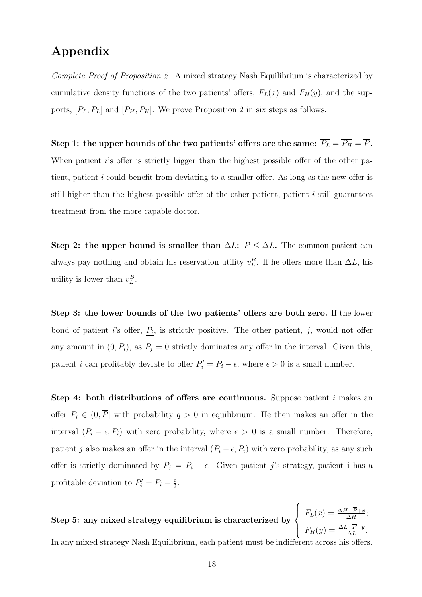## Appendix

*Complete Proof of Proposition 2.* A mixed strategy Nash Equilibrium is characterized by cumulative density functions of the two patients' offers,  $F<sub>L</sub>(x)$  and  $F<sub>H</sub>(y)$ , and the supports,  $[\underline{P_L}, \overline{P_L}]$  and  $[\underline{P_H}, \overline{P_H}]$ . We prove Proposition 2 in six steps as follows.

Step 1: the upper bounds of the two patients' offers are the same:  $\overline{P_L} = \overline{P_H} = \overline{P}$ . When patient  $i$ 's offer is strictly bigger than the highest possible offer of the other patient, patient  $i$  could benefit from deviating to a smaller offer. As long as the new offer is still higher than the highest possible offer of the other patient, patient  $i$  still guarantees treatment from the more capable doctor.

Step 2: the upper bound is smaller than  $\Delta L: \overline{P} \leq \Delta L$ . The common patient can always pay nothing and obtain his reservation utility  $v_L^B$ . If he offers more than  $\Delta L$ , his utility is lower than  $v_L^B$ .

Step 3: the lower bounds of the two patients' offers are both zero. If the lower bond of patient i's offer,  $P_i$ , is strictly positive. The other patient, j, would not offer any amount in  $(0, \underline{P_i})$ , as  $P_j = 0$  strictly dominates any offer in the interval. Given this, patient *i* can profitably deviate to offer  $\frac{P_i'}{P_i} = P_i - \epsilon$ , where  $\epsilon > 0$  is a small number.

Step 4: both distributions of offers are continuous. Suppose patient i makes an offer  $P_i \in (0, \overline{P}]$  with probability  $q > 0$  in equilibrium. He then makes an offer in the interval  $(P_i - \epsilon, P_i)$  with zero probability, where  $\epsilon > 0$  is a small number. Therefore, patient j also makes an offer in the interval  $(P_i - \epsilon, P_i)$  with zero probability, as any such offer is strictly dominated by  $P_j = P_i - \epsilon$ . Given patient j's strategy, patient i has a profitable deviation to  $P'_i = P_i - \frac{\epsilon}{2}$  $\frac{\epsilon}{2}$ .

Step 5: any mixed strategy equilibrium is characterized by  $\sqrt{ }$  $\int$  $\overline{\mathcal{L}}$  $F_L(x) = \frac{\Delta H - \overline{P} + x}{\Delta H};$  $F_H(y) = \frac{\Delta L - \overline{P} + y}{\Delta L}.$ 

In any mixed strategy Nash Equilibrium, each patient must be indifferent across his offers.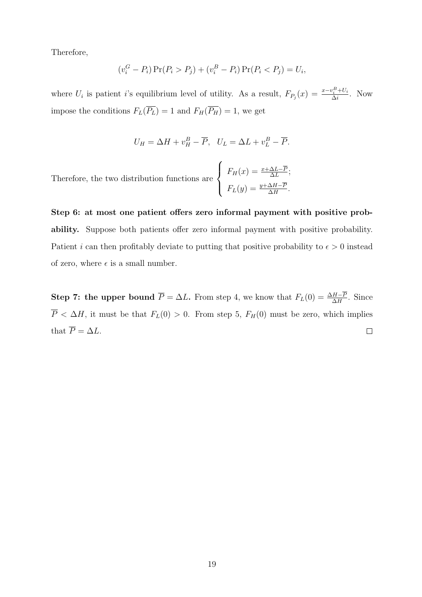Therefore,

$$
(v_i^G - P_i) \Pr(P_i > P_j) + (v_i^B - P_i) \Pr(P_i < P_j) = U_i,
$$

where  $U_i$  is patient i's equilibrium level of utility. As a result,  $F_{P_j}(x) = \frac{x - v_i^B + U_i}{\Delta i}$  $\frac{\partial_i + U_i}{\partial i}$ . Now impose the conditions  $F_L(\overline{P_L}) = 1$  and  $F_H(\overline{P_H}) = 1$ , we get

$$
U_H = \Delta H + v_H^B - \overline{P}, \quad U_L = \Delta L + v_L^B - \overline{P}.
$$

Therefore, the two distribution functions are  $\sqrt{ }$  $\int$  $\overline{\mathcal{L}}$  $F_H(x) = \frac{x + \Delta L - \overline{P}}{\Delta L};$  $F_L(y) = \frac{y + \Delta H - \overline{P}}{\Delta H}.$ 

Step 6: at most one patient offers zero informal payment with positive probability. Suppose both patients offer zero informal payment with positive probability. Patient *i* can then profitably deviate to putting that positive probability to  $\epsilon > 0$  instead of zero, where  $\epsilon$  is a small number.

Step 7: the upper bound  $\overline{P} = \Delta L$ . From step 4, we know that  $F_L(0) = \frac{\Delta H - \overline{P}}{\Delta H}$ . Since  $\overline{P} < \Delta H$ , it must be that  $F_L(0) > 0$ . From step 5,  $F_H(0)$  must be zero, which implies that  $\overline{P} = \Delta L$ .  $\Box$